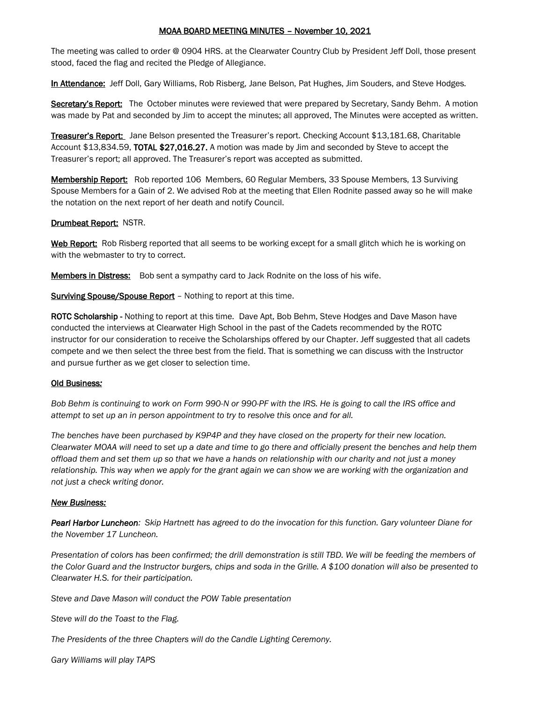# MOAA BOARD MEETING MINUTES – November 10, 2021

The meeting was called to order @ 0904 HRS. at the Clearwater Country Club by President Jeff Doll, those present stood, faced the flag and recited the Pledge of Allegiance.

In Attendance: Jeff Doll, Gary Williams, Rob Risberg, Jane Belson, Pat Hughes, Jim Souders, and Steve Hodges.

Secretary's Report: The October minutes were reviewed that were prepared by Secretary, Sandy Behm. A motion was made by Pat and seconded by Jim to accept the minutes; all approved, The Minutes were accepted as written.

Treasurer's Report: Jane Belson presented the Treasurer's report. Checking Account \$13,181.68, Charitable Account \$13,834.59, TOTAL \$27,016.27. A motion was made by Jim and seconded by Steve to accept the Treasurer's report; all approved. The Treasurer's report was accepted as submitted.

Membership Report: Rob reported 106 Members, 60 Regular Members, 33 Spouse Members, 13 Surviving Spouse Members for a Gain of 2. We advised Rob at the meeting that Ellen Rodnite passed away so he will make the notation on the next report of her death and notify Council.

#### **Drumbeat Report: NSTR.**

Web Report: Rob Risberg reported that all seems to be working except for a small glitch which he is working on with the webmaster to try to correct.

Members in Distress: Bob sent a sympathy card to Jack Rodnite on the loss of his wife.

Surviving Spouse/Spouse Report - Nothing to report at this time.

ROTC Scholarship - Nothing to report at this time. Dave Apt, Bob Behm, Steve Hodges and Dave Mason have conducted the interviews at Clearwater High School in the past of the Cadets recommended by the ROTC instructor for our consideration to receive the Scholarships offered by our Chapter. Jeff suggested that all cadets compete and we then select the three best from the field. That is something we can discuss with the Instructor and pursue further as we get closer to selection time.

# Old Business*:*

*Bob Behm is continuing to work on Form 990-N or 990-PF with the IRS. He is going to call the IRS office and attempt to set up an in person appointment to try to resolve this once and for all.*

*The benches have been purchased by K9P4P and they have closed on the property for their new location. Clearwater MOAA will need to set up a date and time to go there and officially present the benches and help them offload them and set them up so that we have a hands on relationship with our charity and not just a money relationship. This way when we apply for the grant again we can show we are working with the organization and not just a check writing donor.*

# *New Business:*

*Pearl Harbor Luncheon: Skip Hartnett has agreed to do the invocation for this function. Gary volunteer Diane for the November 17 Luncheon.*

*Presentation of colors has been confirmed; the drill demonstration is still TBD. We will be feeding the members of the Color Guard and the Instructor burgers, chips and soda in the Grille. A \$100 donation will also be presented to Clearwater H.S. for their participation.*

*Steve and Dave Mason will conduct the POW Table presentation*

*Steve will do the Toast to the Flag.*

*The Presidents of the three Chapters will do the Candle Lighting Ceremony.*

*Gary Williams will play TAPS*